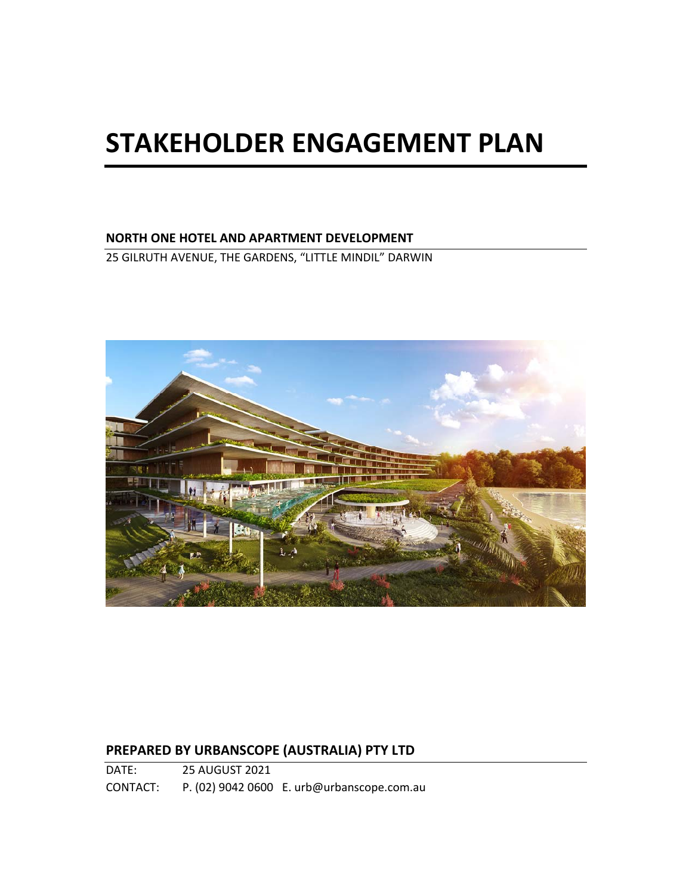# **STAKEHOLDER ENGAGEMENT PLAN**

# **NORTH ONE HOTEL AND APARTMENT DEVELOPMENT**

25 GILRUTH AVENUE, THE GARDENS, "LITTLE MINDIL" DARWIN



# **PREPARED BY URBANSCOPE (AUSTRALIA) PTY LTD**

DATE: 25 AUGUST 2021 CONTACT: P. (02) 9042 0600 E. urb@urbanscope.com.au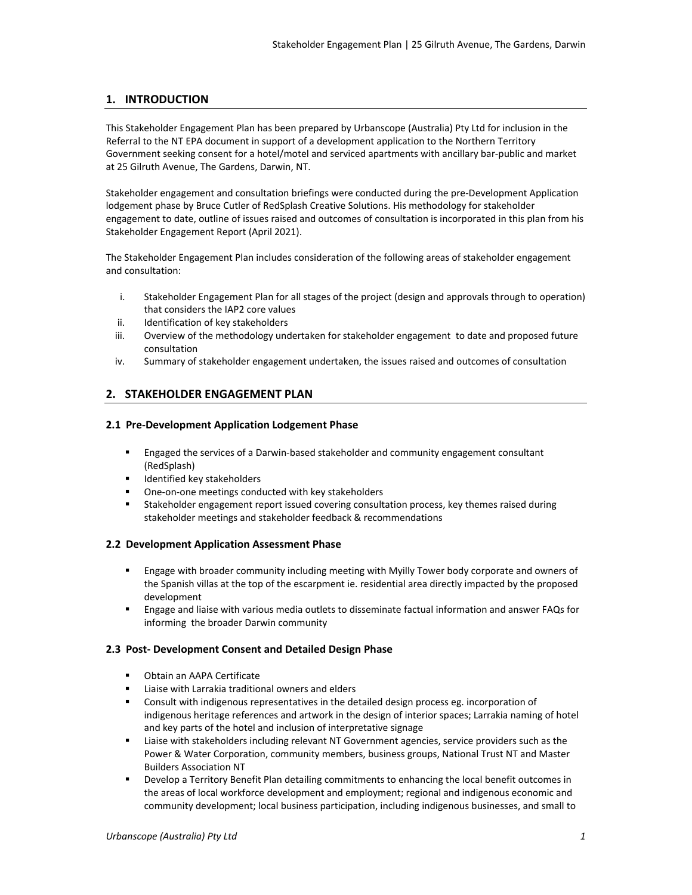#### **1. INTRODUCTION**

This Stakeholder Engagement Plan has been prepared by Urbanscope (Australia) Pty Ltd for inclusion in the Referral to the NT EPA document in support of a development application to the Northern Territory Government seeking consent for a hotel/motel and serviced apartments with ancillary bar‐public and market at 25 Gilruth Avenue, The Gardens, Darwin, NT.

Stakeholder engagement and consultation briefings were conducted during the pre‐Development Application lodgement phase by Bruce Cutler of RedSplash Creative Solutions. His methodology for stakeholder engagement to date, outline of issues raised and outcomes of consultation is incorporated in this plan from his Stakeholder Engagement Report (April 2021).

The Stakeholder Engagement Plan includes consideration of the following areas of stakeholder engagement and consultation:

- i. Stakeholder Engagement Plan for all stages of the project (design and approvals through to operation) that considers the IAP2 core values
- ii. Identification of key stakeholders
- iii. Overview of the methodology undertaken for stakeholder engagement to date and proposed future consultation
- iv. Summary of stakeholder engagement undertaken, the issues raised and outcomes of consultation

#### **2. STAKEHOLDER ENGAGEMENT PLAN**

#### **2.1 Pre‐Development Application Lodgement Phase**

- Engaged the services of a Darwin-based stakeholder and community engagement consultant (RedSplash)
- Identified key stakeholders
- One‐on‐one meetings conducted with key stakeholders
- Stakeholder engagement report issued covering consultation process, key themes raised during stakeholder meetings and stakeholder feedback & recommendations

#### **2.2 Development Application Assessment Phase**

- **Engage with broader community including meeting with Myilly Tower body corporate and owners of** the Spanish villas at the top of the escarpment ie. residential area directly impacted by the proposed development
- Engage and liaise with various media outlets to disseminate factual information and answer FAQs for informing the broader Darwin community

#### **2.3 Post‐ Development Consent and Detailed Design Phase**

- **•** Obtain an AAPA Certificate
- Liaise with Larrakia traditional owners and elders
- Consult with indigenous representatives in the detailed design process eg. incorporation of indigenous heritage references and artwork in the design of interior spaces; Larrakia naming of hotel and key parts of the hotel and inclusion of interpretative signage
- Liaise with stakeholders including relevant NT Government agencies, service providers such as the Power & Water Corporation, community members, business groups, National Trust NT and Master Builders Association NT
- Develop a Territory Benefit Plan detailing commitments to enhancing the local benefit outcomes in the areas of local workforce development and employment; regional and indigenous economic and community development; local business participation, including indigenous businesses, and small to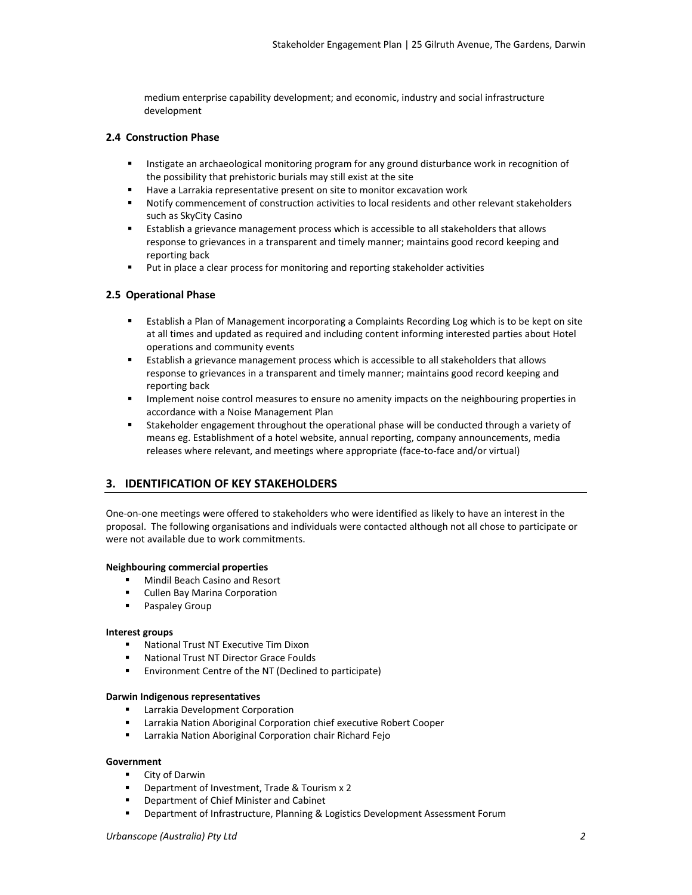medium enterprise capability development; and economic, industry and social infrastructure development

#### **2.4 Construction Phase**

- Instigate an archaeological monitoring program for any ground disturbance work in recognition of the possibility that prehistoric burials may still exist at the site
- Have a Larrakia representative present on site to monitor excavation work
- Notify commencement of construction activities to local residents and other relevant stakeholders such as SkyCity Casino
- Establish a grievance management process which is accessible to all stakeholders that allows response to grievances in a transparent and timely manner; maintains good record keeping and reporting back
- Put in place a clear process for monitoring and reporting stakeholder activities

#### **2.5 Operational Phase**

- Establish a Plan of Management incorporating a Complaints Recording Log which is to be kept on site at all times and updated as required and including content informing interested parties about Hotel operations and community events
- **Establish a grievance management process which is accessible to all stakeholders that allows** response to grievances in a transparent and timely manner; maintains good record keeping and reporting back
- Implement noise control measures to ensure no amenity impacts on the neighbouring properties in accordance with a Noise Management Plan
- Stakeholder engagement throughout the operational phase will be conducted through a variety of means eg. Establishment of a hotel website, annual reporting, company announcements, media releases where relevant, and meetings where appropriate (face‐to‐face and/or virtual)

#### **3. IDENTIFICATION OF KEY STAKEHOLDERS**

One‐on‐one meetings were offered to stakeholders who were identified as likely to have an interest in the proposal. The following organisations and individuals were contacted although not all chose to participate or were not available due to work commitments.

#### **Neighbouring commercial properties**

- **Mindil Beach Casino and Resort**
- Cullen Bay Marina Corporation
- **Paspaley Group**

#### **Interest groups**

- National Trust NT Executive Tim Dixon
- National Trust NT Director Grace Foulds
- **Environment Centre of the NT (Declined to participate)**

#### **Darwin Indigenous representatives**

- **EXEC** Larrakia Development Corporation
- Larrakia Nation Aboriginal Corporation chief executive Robert Cooper
- **EXECT** Larrakia Nation Aboriginal Corporation chair Richard Fejo

#### **Government**

- **City of Darwin**
- Department of Investment, Trade & Tourism x 2
- **Department of Chief Minister and Cabinet**<br>**Department of Infrastructure, Planning & I**
- Department of Infrastructure, Planning & Logistics Development Assessment Forum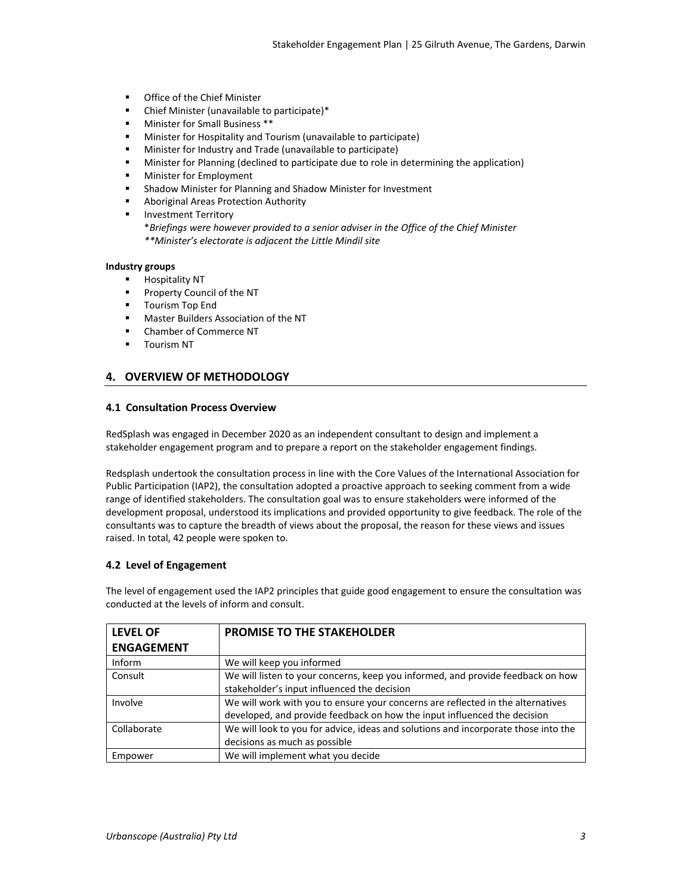- **•** Office of the Chief Minister
- Chief Minister (unavailable to participate)\*
- Minister for Small Business \*\*
- Minister for Hospitality and Tourism (unavailable to participate)
- Minister for Industry and Trade (unavailable to participate)
- Minister for Planning (declined to participate due to role in determining the application)
- Minister for Employment
- Shadow Minister for Planning and Shadow Minister for Investment
- Aboriginal Areas Protection Authority
- **Investment Territory**

\**Briefings were however provided to a senior adviser in the Office of the Chief Minister \*\*Minister's electorate is adjacent the Little Mindil site* 

#### **Industry groups**

- **Hospitality NT**
- **Property Council of the NT**
- **Tourism Top End**
- **Master Builders Association of the NT**
- Chamber of Commerce NT
- Tourism NT

#### **4. OVERVIEW OF METHODOLOGY**

#### **4.1 Consultation Process Overview**

RedSplash was engaged in December 2020 as an independent consultant to design and implement a stakeholder engagement program and to prepare a report on the stakeholder engagement findings.

Redsplash undertook the consultation process in line with the Core Values of the International Association for Public Participation (IAP2), the consultation adopted a proactive approach to seeking comment from a wide range of identified stakeholders. The consultation goal was to ensure stakeholders were informed of the development proposal, understood its implications and provided opportunity to give feedback. The role of the consultants was to capture the breadth of views about the proposal, the reason for these views and issues raised. In total, 42 people were spoken to.

#### **4.2 Level of Engagement**

The level of engagement used the IAP2 principles that guide good engagement to ensure the consultation was conducted at the levels of inform and consult.

| <b>LEVEL OF</b>   | PROMISE TO THE STAKEHOLDER                                                                                                     |
|-------------------|--------------------------------------------------------------------------------------------------------------------------------|
| <b>ENGAGEMENT</b> |                                                                                                                                |
| <b>Inform</b>     | We will keep you informed                                                                                                      |
| Consult           | We will listen to your concerns, keep you informed, and provide feedback on how<br>stakeholder's input influenced the decision |
| Involve           | We will work with you to ensure your concerns are reflected in the alternatives                                                |
|                   | developed, and provide feedback on how the input influenced the decision                                                       |
| Collaborate       | We will look to you for advice, ideas and solutions and incorporate those into the                                             |
|                   | decisions as much as possible                                                                                                  |
| Empower           | We will implement what you decide                                                                                              |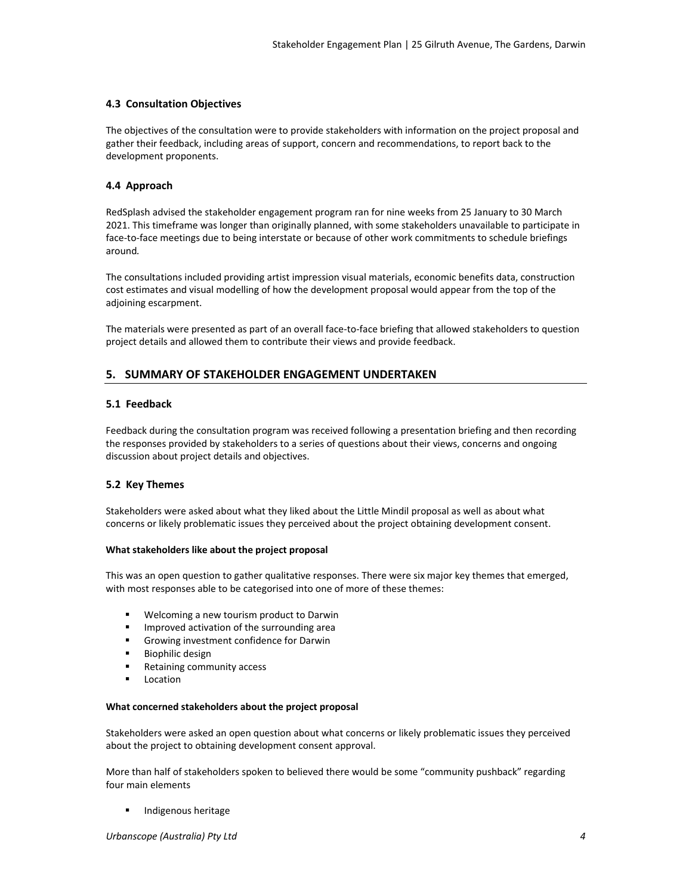#### **4.3 Consultation Objectives**

The objectives of the consultation were to provide stakeholders with information on the project proposal and gather their feedback, including areas of support, concern and recommendations, to report back to the development proponents.

#### **4.4 Approach**

RedSplash advised the stakeholder engagement program ran for nine weeks from 25 January to 30 March 2021. This timeframe was longer than originally planned, with some stakeholders unavailable to participate in face-to-face meetings due to being interstate or because of other work commitments to schedule briefings around*.* 

The consultations included providing artist impression visual materials, economic benefits data, construction cost estimates and visual modelling of how the development proposal would appear from the top of the adjoining escarpment.

The materials were presented as part of an overall face‐to‐face briefing that allowed stakeholders to question project details and allowed them to contribute their views and provide feedback.

#### **5. SUMMARY OF STAKEHOLDER ENGAGEMENT UNDERTAKEN**

#### **5.1 Feedback**

Feedback during the consultation program was received following a presentation briefing and then recording the responses provided by stakeholders to a series of questions about their views, concerns and ongoing discussion about project details and objectives.

#### **5.2 Key Themes**

Stakeholders were asked about what they liked about the Little Mindil proposal as well as about what concerns or likely problematic issues they perceived about the project obtaining development consent.

#### **What stakeholders like about the project proposal**

This was an open question to gather qualitative responses. There were six major key themes that emerged, with most responses able to be categorised into one of more of these themes:

- Welcoming a new tourism product to Darwin
- **IMPROVED ACTIVATION OF THE SUIT OF A THE STANDER**
- Growing investment confidence for Darwin
- **Biophilic design**
- Retaining community access
- Location

#### **What concerned stakeholders about the project proposal**

Stakeholders were asked an open question about what concerns or likely problematic issues they perceived about the project to obtaining development consent approval.

More than half of stakeholders spoken to believed there would be some "community pushback" regarding four main elements

Indigenous heritage

*Urbanscope (Australia) Pty Ltd 4*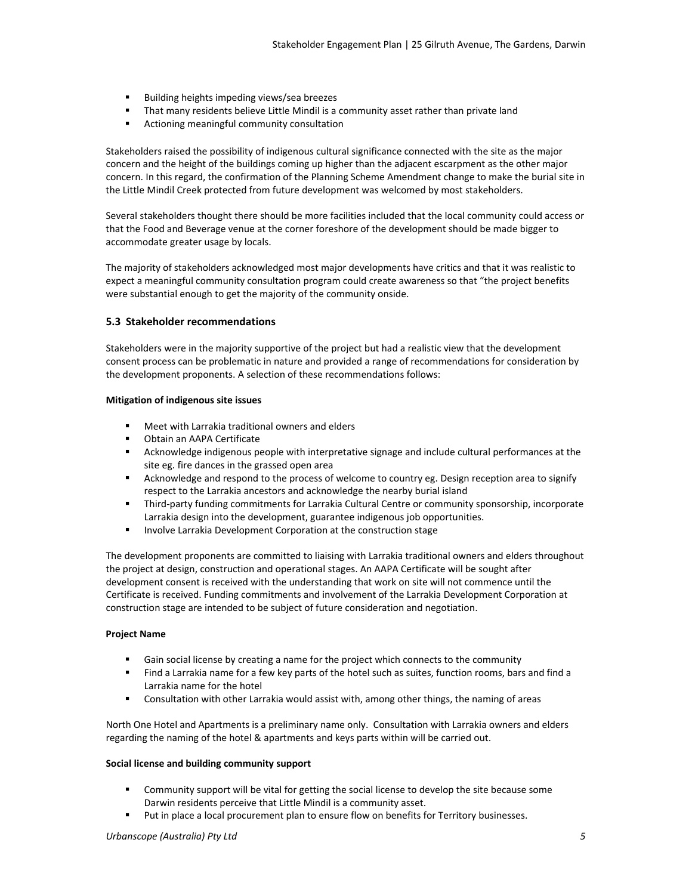- Building heights impeding views/sea breezes
- That many residents believe Little Mindil is a community asset rather than private land<br>■ Actioning meaningful community consultation
- Actioning meaningful community consultation

Stakeholders raised the possibility of indigenous cultural significance connected with the site as the major concern and the height of the buildings coming up higher than the adjacent escarpment as the other major concern. In this regard, the confirmation of the Planning Scheme Amendment change to make the burial site in the Little Mindil Creek protected from future development was welcomed by most stakeholders.

Several stakeholders thought there should be more facilities included that the local community could access or that the Food and Beverage venue at the corner foreshore of the development should be made bigger to accommodate greater usage by locals.

The majority of stakeholders acknowledged most major developments have critics and that it was realistic to expect a meaningful community consultation program could create awareness so that "the project benefits were substantial enough to get the majority of the community onside.

#### **5.3 Stakeholder recommendations**

Stakeholders were in the majority supportive of the project but had a realistic view that the development consent process can be problematic in nature and provided a range of recommendations for consideration by the development proponents. A selection of these recommendations follows:

#### **Mitigation of indigenous site issues**

- Meet with Larrakia traditional owners and elders
- Obtain an AAPA Certificate
- Acknowledge indigenous people with interpretative signage and include cultural performances at the site eg. fire dances in the grassed open area
- Acknowledge and respond to the process of welcome to country eg. Design reception area to signify respect to the Larrakia ancestors and acknowledge the nearby burial island
- Third-party funding commitments for Larrakia Cultural Centre or community sponsorship, incorporate Larrakia design into the development, guarantee indigenous job opportunities.
- **Involve Larrakia Development Corporation at the construction stage**

The development proponents are committed to liaising with Larrakia traditional owners and elders throughout the project at design, construction and operational stages. An AAPA Certificate will be sought after development consent is received with the understanding that work on site will not commence until the Certificate is received. Funding commitments and involvement of the Larrakia Development Corporation at construction stage are intended to be subject of future consideration and negotiation.

#### **Project Name**

- Gain social license by creating a name for the project which connects to the community
- Find a Larrakia name for a few key parts of the hotel such as suites, function rooms, bars and find a Larrakia name for the hotel
- **EXTH** Consultation with other Larrakia would assist with, among other things, the naming of areas

North One Hotel and Apartments is a preliminary name only. Consultation with Larrakia owners and elders regarding the naming of the hotel & apartments and keys parts within will be carried out.

#### **Social license and building community support**

- **Community support will be vital for getting the social license to develop the site because some** Darwin residents perceive that Little Mindil is a community asset.
- Put in place a local procurement plan to ensure flow on benefits for Territory businesses.

#### *Urbanscope (Australia) Pty Ltd 5*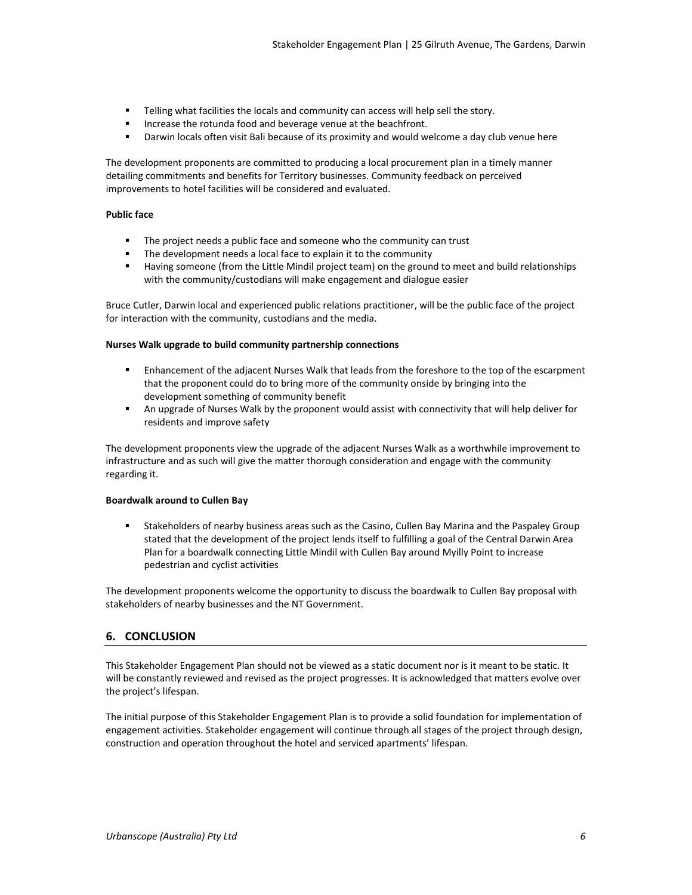- Telling what facilities the locals and community can access will help sell the story.
- Increase the rotunda food and beverage venue at the beachfront.
- Darwin locals often visit Bali because of its proximity and would welcome a day club venue here

The development proponents are committed to producing a local procurement plan in a timely manner detailing commitments and benefits for Territory businesses. Community feedback on perceived improvements to hotel facilities will be considered and evaluated.

#### **Public face**

- The project needs a public face and someone who the community can trust
- The development needs a local face to explain it to the community
- Having someone (from the Little Mindil project team) on the ground to meet and build relationships with the community/custodians will make engagement and dialogue easier

Bruce Cutler, Darwin local and experienced public relations practitioner, will be the public face of the project for interaction with the community, custodians and the media.

#### **Nurses Walk upgrade to build community partnership connections**

- Enhancement of the adjacent Nurses Walk that leads from the foreshore to the top of the escarpment that the proponent could do to bring more of the community onside by bringing into the development something of community benefit
- An upgrade of Nurses Walk by the proponent would assist with connectivity that will help deliver for residents and improve safety

The development proponents view the upgrade of the adjacent Nurses Walk as a worthwhile improvement to infrastructure and as such will give the matter thorough consideration and engage with the community regarding it.

#### **Boardwalk around to Cullen Bay**

 Stakeholders of nearby business areas such as the Casino, Cullen Bay Marina and the Paspaley Group stated that the development of the project lends itself to fulfilling a goal of the Central Darwin Area Plan for a boardwalk connecting Little Mindil with Cullen Bay around Myilly Point to increase pedestrian and cyclist activities

The development proponents welcome the opportunity to discuss the boardwalk to Cullen Bay proposal with stakeholders of nearby businesses and the NT Government.

### **6. CONCLUSION**

This Stakeholder Engagement Plan should not be viewed as a static document nor is it meant to be static. It will be constantly reviewed and revised as the project progresses. It is acknowledged that matters evolve over the project's lifespan.

The initial purpose of this Stakeholder Engagement Plan is to provide a solid foundation for implementation of engagement activities. Stakeholder engagement will continue through all stages of the project through design, construction and operation throughout the hotel and serviced apartments' lifespan.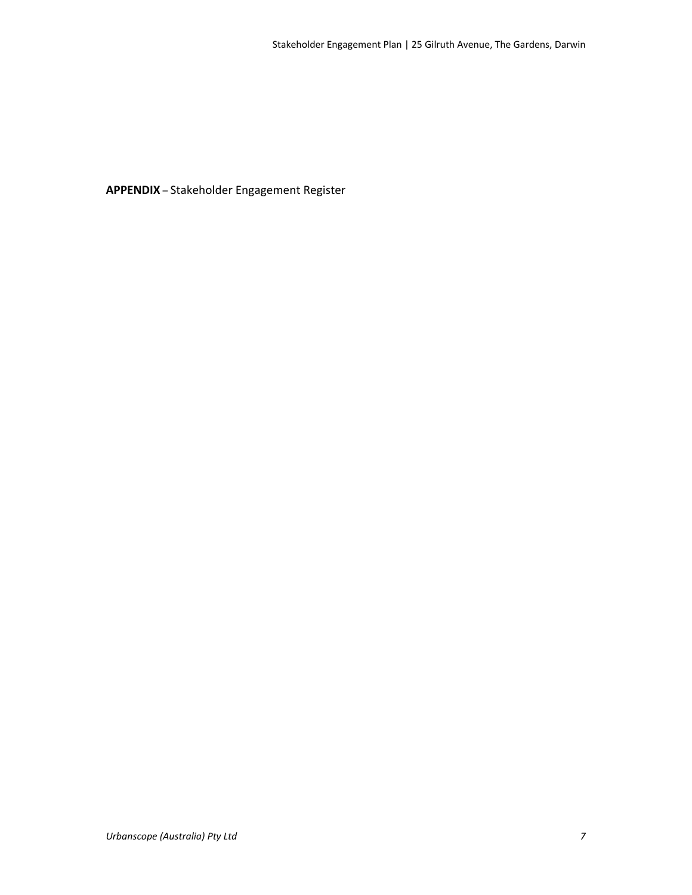**APPENDIX** – Stakeholder Engagement Register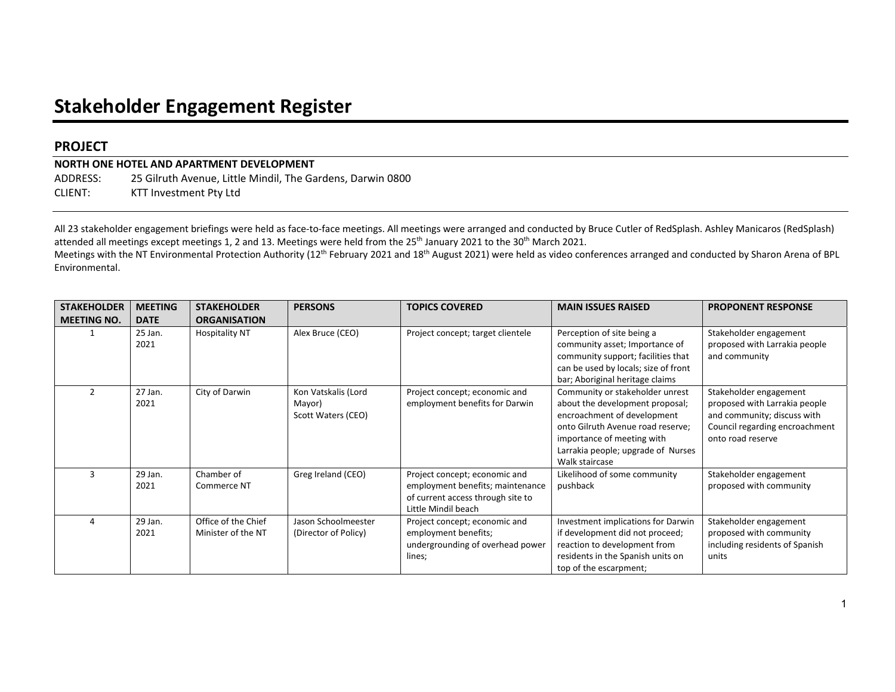# **Stakeholder Engagement Register**

## **PROJECT**

**NORTH ONE HOTEL AND APARTMENT DEVELOPMENT**  ADDRESS: 25 Gilruth Avenue, Little Mindil, The Gardens, Darwin 0800 CLIENT: KTT Investment Pty Ltd

All 23 stakeholder engagement briefings were held as face-to-face meetings. All meetings were arranged and conducted by Bruce Cutler of RedSplash. Ashley Manicaros (RedSplash) attended all meetings except meetings 1, 2 and 13. Meetings were held from the 25<sup>th</sup> January 2021 to the 30<sup>th</sup> March 2021.

Meetings with the NT Environmental Protection Authority (12<sup>th</sup> February 2021 and 18<sup>th</sup> August 2021) were held as video conferences arranged and conducted by Sharon Arena of BPL Environmental.

| <b>STAKEHOLDER</b> | <b>MEETING</b>  | <b>STAKEHOLDER</b>                        | <b>PERSONS</b>                                      | <b>TOPICS COVERED</b>                                                                                                         | <b>MAIN ISSUES RAISED</b>                                                                                                                                                                                                    | <b>PROPONENT RESPONSE</b>                                                                                                                     |
|--------------------|-----------------|-------------------------------------------|-----------------------------------------------------|-------------------------------------------------------------------------------------------------------------------------------|------------------------------------------------------------------------------------------------------------------------------------------------------------------------------------------------------------------------------|-----------------------------------------------------------------------------------------------------------------------------------------------|
| <b>MEETING NO.</b> | <b>DATE</b>     | <b>ORGANISATION</b>                       |                                                     |                                                                                                                               |                                                                                                                                                                                                                              |                                                                                                                                               |
|                    | 25 Jan.<br>2021 | <b>Hospitality NT</b>                     | Alex Bruce (CEO)                                    | Project concept; target clientele                                                                                             | Perception of site being a<br>community asset; Importance of<br>community support; facilities that<br>can be used by locals; size of front<br>bar; Aboriginal heritage claims                                                | Stakeholder engagement<br>proposed with Larrakia people<br>and community                                                                      |
| $\mathfrak{p}$     | 27 Jan.<br>2021 | City of Darwin                            | Kon Vatskalis (Lord<br>Mayor)<br>Scott Waters (CEO) | Project concept; economic and<br>employment benefits for Darwin                                                               | Community or stakeholder unrest<br>about the development proposal;<br>encroachment of development<br>onto Gilruth Avenue road reserve;<br>importance of meeting with<br>Larrakia people; upgrade of Nurses<br>Walk staircase | Stakeholder engagement<br>proposed with Larrakia people<br>and community; discuss with<br>Council regarding encroachment<br>onto road reserve |
| 3                  | 29 Jan.<br>2021 | Chamber of<br>Commerce NT                 | Greg Ireland (CEO)                                  | Project concept; economic and<br>employment benefits; maintenance<br>of current access through site to<br>Little Mindil beach | Likelihood of some community<br>pushback                                                                                                                                                                                     | Stakeholder engagement<br>proposed with community                                                                                             |
| 4                  | 29 Jan.<br>2021 | Office of the Chief<br>Minister of the NT | Jason Schoolmeester<br>(Director of Policy)         | Project concept; economic and<br>employment benefits;<br>undergrounding of overhead power<br>lines;                           | Investment implications for Darwin<br>if development did not proceed;<br>reaction to development from<br>residents in the Spanish units on<br>top of the escarpment;                                                         | Stakeholder engagement<br>proposed with community<br>including residents of Spanish<br>units                                                  |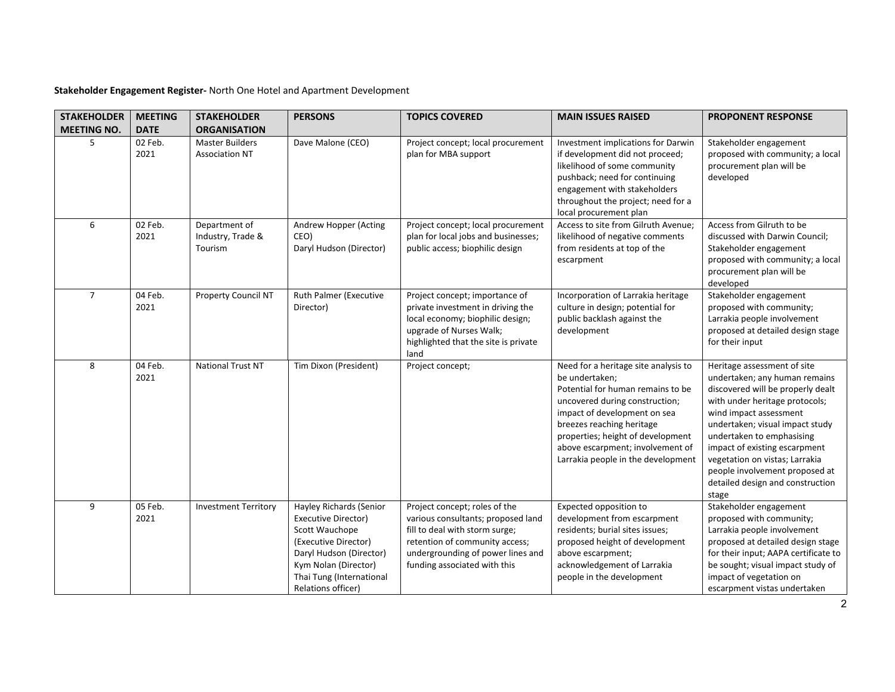| <b>STAKEHOLDER</b><br><b>MEETING NO.</b> | <b>MEETING</b><br><b>DATE</b> | <b>STAKEHOLDER</b><br><b>ORGANISATION</b>       | <b>PERSONS</b>                                                                                                                                                                                | <b>TOPICS COVERED</b>                                                                                                                                                                                        | <b>MAIN ISSUES RAISED</b>                                                                                                                                                                                                                                                                                 | <b>PROPONENT RESPONSE</b>                                                                                                                                                                                                                                                                                                                                                       |
|------------------------------------------|-------------------------------|-------------------------------------------------|-----------------------------------------------------------------------------------------------------------------------------------------------------------------------------------------------|--------------------------------------------------------------------------------------------------------------------------------------------------------------------------------------------------------------|-----------------------------------------------------------------------------------------------------------------------------------------------------------------------------------------------------------------------------------------------------------------------------------------------------------|---------------------------------------------------------------------------------------------------------------------------------------------------------------------------------------------------------------------------------------------------------------------------------------------------------------------------------------------------------------------------------|
| 5                                        | 02 Feb.<br>2021               | <b>Master Builders</b><br><b>Association NT</b> | Dave Malone (CEO)                                                                                                                                                                             | Project concept; local procurement<br>plan for MBA support                                                                                                                                                   | Investment implications for Darwin<br>if development did not proceed;<br>likelihood of some community<br>pushback; need for continuing<br>engagement with stakeholders<br>throughout the project; need for a<br>local procurement plan                                                                    | Stakeholder engagement<br>proposed with community; a local<br>procurement plan will be<br>developed                                                                                                                                                                                                                                                                             |
| 6                                        | 02 Feb.<br>2021               | Department of<br>Industry, Trade &<br>Tourism   | Andrew Hopper (Acting<br>CEO)<br>Daryl Hudson (Director)                                                                                                                                      | Project concept; local procurement<br>plan for local jobs and businesses;<br>public access; biophilic design                                                                                                 | Access to site from Gilruth Avenue;<br>likelihood of negative comments<br>from residents at top of the<br>escarpment                                                                                                                                                                                      | Access from Gilruth to be<br>discussed with Darwin Council;<br>Stakeholder engagement<br>proposed with community; a local<br>procurement plan will be<br>developed                                                                                                                                                                                                              |
| $\overline{7}$                           | 04 Feb.<br>2021               | Property Council NT                             | Ruth Palmer (Executive<br>Director)                                                                                                                                                           | Project concept; importance of<br>private investment in driving the<br>local economy; biophilic design;<br>upgrade of Nurses Walk;<br>highlighted that the site is private<br>land                           | Incorporation of Larrakia heritage<br>culture in design; potential for<br>public backlash against the<br>development                                                                                                                                                                                      | Stakeholder engagement<br>proposed with community;<br>Larrakia people involvement<br>proposed at detailed design stage<br>for their input                                                                                                                                                                                                                                       |
| 8                                        | 04 Feb.<br>2021               | <b>National Trust NT</b>                        | Tim Dixon (President)                                                                                                                                                                         | Project concept;                                                                                                                                                                                             | Need for a heritage site analysis to<br>be undertaken;<br>Potential for human remains to be<br>uncovered during construction;<br>impact of development on sea<br>breezes reaching heritage<br>properties; height of development<br>above escarpment; involvement of<br>Larrakia people in the development | Heritage assessment of site<br>undertaken; any human remains<br>discovered will be properly dealt<br>with under heritage protocols;<br>wind impact assessment<br>undertaken; visual impact study<br>undertaken to emphasising<br>impact of existing escarpment<br>vegetation on vistas; Larrakia<br>people involvement proposed at<br>detailed design and construction<br>stage |
| 9                                        | 05 Feb.<br>2021               | <b>Investment Territory</b>                     | Hayley Richards (Senior<br>Executive Director)<br>Scott Wauchope<br>(Executive Director)<br>Daryl Hudson (Director)<br>Kym Nolan (Director)<br>Thai Tung (International<br>Relations officer) | Project concept; roles of the<br>various consultants; proposed land<br>fill to deal with storm surge;<br>retention of community access;<br>undergrounding of power lines and<br>funding associated with this | Expected opposition to<br>development from escarpment<br>residents; burial sites issues;<br>proposed height of development<br>above escarpment;<br>acknowledgement of Larrakia<br>people in the development                                                                                               | Stakeholder engagement<br>proposed with community;<br>Larrakia people involvement<br>proposed at detailed design stage<br>for their input; AAPA certificate to<br>be sought; visual impact study of<br>impact of vegetation on<br>escarpment vistas undertaken                                                                                                                  |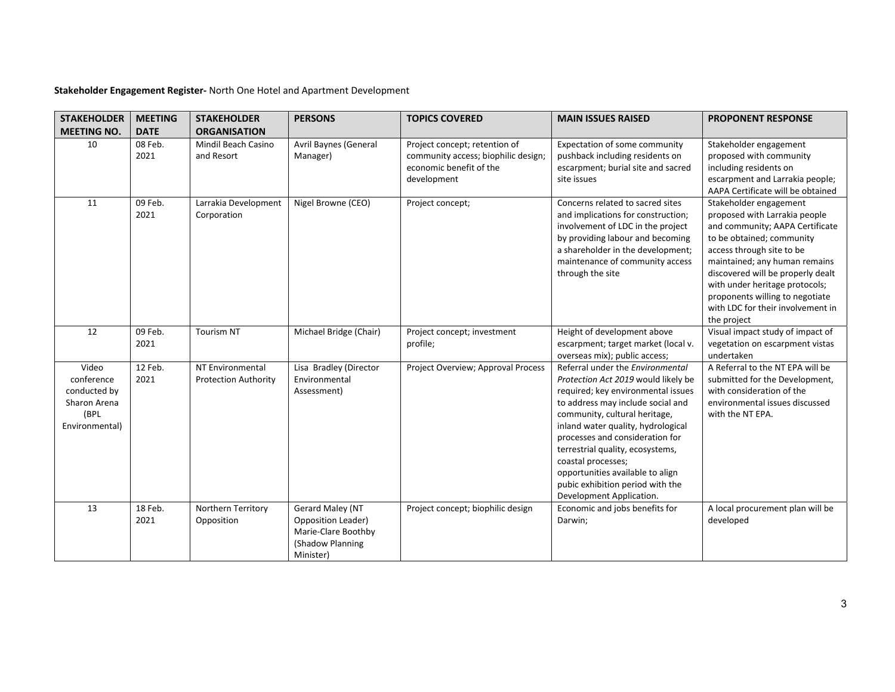| <b>STAKEHOLDER</b><br><b>MEETING NO.</b>                                      | <b>MEETING</b><br><b>DATE</b> | <b>STAKEHOLDER</b><br><b>ORGANISATION</b>       | <b>PERSONS</b>                                                                                 | <b>TOPICS COVERED</b>                                                                                          | <b>MAIN ISSUES RAISED</b>                                                                                                                                                                                                                                                                                                                                                                                                  | <b>PROPONENT RESPONSE</b>                                                                                                                                                                                                                                                                                                                           |
|-------------------------------------------------------------------------------|-------------------------------|-------------------------------------------------|------------------------------------------------------------------------------------------------|----------------------------------------------------------------------------------------------------------------|----------------------------------------------------------------------------------------------------------------------------------------------------------------------------------------------------------------------------------------------------------------------------------------------------------------------------------------------------------------------------------------------------------------------------|-----------------------------------------------------------------------------------------------------------------------------------------------------------------------------------------------------------------------------------------------------------------------------------------------------------------------------------------------------|
| 10                                                                            | 08 Feb.<br>2021               | Mindil Beach Casino<br>and Resort               | Avril Baynes (General<br>Manager)                                                              | Project concept; retention of<br>community access; biophilic design;<br>economic benefit of the<br>development | Expectation of some community<br>pushback including residents on<br>escarpment; burial site and sacred<br>site issues                                                                                                                                                                                                                                                                                                      | Stakeholder engagement<br>proposed with community<br>including residents on<br>escarpment and Larrakia people;<br>AAPA Certificate will be obtained                                                                                                                                                                                                 |
| 11                                                                            | 09 Feb.<br>2021               | Larrakia Development<br>Corporation             | Nigel Browne (CEO)                                                                             | Project concept;                                                                                               | Concerns related to sacred sites<br>and implications for construction;<br>involvement of LDC in the project<br>by providing labour and becoming<br>a shareholder in the development;<br>maintenance of community access<br>through the site                                                                                                                                                                                | Stakeholder engagement<br>proposed with Larrakia people<br>and community; AAPA Certificate<br>to be obtained; community<br>access through site to be<br>maintained; any human remains<br>discovered will be properly dealt<br>with under heritage protocols;<br>proponents willing to negotiate<br>with LDC for their involvement in<br>the project |
| 12                                                                            | 09 Feb.<br>2021               | <b>Tourism NT</b>                               | Michael Bridge (Chair)                                                                         | Project concept; investment<br>profile;                                                                        | Height of development above<br>escarpment; target market (local v.<br>overseas mix); public access;                                                                                                                                                                                                                                                                                                                        | Visual impact study of impact of<br>vegetation on escarpment vistas<br>undertaken                                                                                                                                                                                                                                                                   |
| Video<br>conference<br>conducted by<br>Sharon Arena<br>(BPL<br>Environmental) | 12 Feb.<br>2021               | NT Environmental<br><b>Protection Authority</b> | Lisa Bradley (Director<br>Environmental<br>Assessment)                                         | Project Overview; Approval Process                                                                             | Referral under the Environmental<br>Protection Act 2019 would likely be<br>required; key environmental issues<br>to address may include social and<br>community, cultural heritage,<br>inland water quality, hydrological<br>processes and consideration for<br>terrestrial quality, ecosystems,<br>coastal processes;<br>opportunities available to align<br>pubic exhibition period with the<br>Development Application. | A Referral to the NT EPA will be<br>submitted for the Development,<br>with consideration of the<br>environmental issues discussed<br>with the NT EPA.                                                                                                                                                                                               |
| 13                                                                            | 18 Feb.<br>2021               | Northern Territory<br>Opposition                | Gerard Maley (NT<br>Opposition Leader)<br>Marie-Clare Boothby<br>(Shadow Planning<br>Minister) | Project concept; biophilic design                                                                              | Economic and jobs benefits for<br>Darwin;                                                                                                                                                                                                                                                                                                                                                                                  | A local procurement plan will be<br>developed                                                                                                                                                                                                                                                                                                       |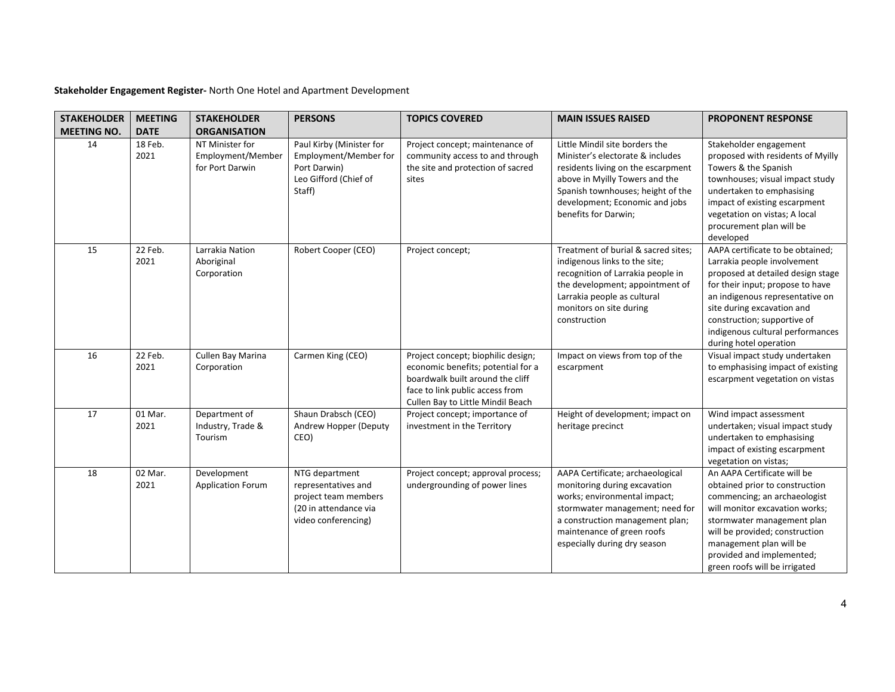| <b>STAKEHOLDER</b> | <b>MEETING</b>  | <b>STAKEHOLDER</b>                                      | <b>PERSONS</b>                                                                                                | <b>TOPICS COVERED</b>                                                                                                                                                                | <b>MAIN ISSUES RAISED</b>                                                                                                                                                                                                                 | <b>PROPONENT RESPONSE</b>                                                                                                                                                                                                                                                                              |
|--------------------|-----------------|---------------------------------------------------------|---------------------------------------------------------------------------------------------------------------|--------------------------------------------------------------------------------------------------------------------------------------------------------------------------------------|-------------------------------------------------------------------------------------------------------------------------------------------------------------------------------------------------------------------------------------------|--------------------------------------------------------------------------------------------------------------------------------------------------------------------------------------------------------------------------------------------------------------------------------------------------------|
| <b>MEETING NO.</b> | <b>DATE</b>     | <b>ORGANISATION</b>                                     |                                                                                                               |                                                                                                                                                                                      |                                                                                                                                                                                                                                           |                                                                                                                                                                                                                                                                                                        |
| 14                 | 18 Feb.<br>2021 | NT Minister for<br>Employment/Member<br>for Port Darwin | Paul Kirby (Minister for<br>Employment/Member for<br>Port Darwin)<br>Leo Gifford (Chief of<br>Staff)          | Project concept; maintenance of<br>community access to and through<br>the site and protection of sacred<br>sites                                                                     | Little Mindil site borders the<br>Minister's electorate & includes<br>residents living on the escarpment<br>above in Myilly Towers and the<br>Spanish townhouses; height of the<br>development; Economic and jobs<br>benefits for Darwin; | Stakeholder engagement<br>proposed with residents of Myilly<br>Towers & the Spanish<br>townhouses; visual impact study<br>undertaken to emphasising<br>impact of existing escarpment<br>vegetation on vistas; A local<br>procurement plan will be<br>developed                                         |
| 15                 | 22 Feb.<br>2021 | Larrakia Nation<br>Aboriginal<br>Corporation            | Robert Cooper (CEO)                                                                                           | Project concept;                                                                                                                                                                     | Treatment of burial & sacred sites:<br>indigenous links to the site;<br>recognition of Larrakia people in<br>the development; appointment of<br>Larrakia people as cultural<br>monitors on site during<br>construction                    | AAPA certificate to be obtained;<br>Larrakia people involvement<br>proposed at detailed design stage<br>for their input; propose to have<br>an indigenous representative on<br>site during excavation and<br>construction; supportive of<br>indigenous cultural performances<br>during hotel operation |
| 16                 | 22 Feb.<br>2021 | Cullen Bay Marina<br>Corporation                        | Carmen King (CEO)                                                                                             | Project concept; biophilic design;<br>economic benefits; potential for a<br>boardwalk built around the cliff<br>face to link public access from<br>Cullen Bay to Little Mindil Beach | Impact on views from top of the<br>escarpment                                                                                                                                                                                             | Visual impact study undertaken<br>to emphasising impact of existing<br>escarpment vegetation on vistas                                                                                                                                                                                                 |
| 17                 | 01 Mar.<br>2021 | Department of<br>Industry, Trade &<br>Tourism           | Shaun Drabsch (CEO)<br>Andrew Hopper (Deputy<br>CEO)                                                          | Project concept; importance of<br>investment in the Territory                                                                                                                        | Height of development; impact on<br>heritage precinct                                                                                                                                                                                     | Wind impact assessment<br>undertaken; visual impact study<br>undertaken to emphasising<br>impact of existing escarpment<br>vegetation on vistas;                                                                                                                                                       |
| 18                 | 02 Mar.<br>2021 | Development<br><b>Application Forum</b>                 | NTG department<br>representatives and<br>project team members<br>(20 in attendance via<br>video conferencing) | Project concept; approval process;<br>undergrounding of power lines                                                                                                                  | AAPA Certificate; archaeological<br>monitoring during excavation<br>works; environmental impact;<br>stormwater management; need for<br>a construction management plan;<br>maintenance of green roofs<br>especially during dry season      | An AAPA Certificate will be<br>obtained prior to construction<br>commencing; an archaeologist<br>will monitor excavation works;<br>stormwater management plan<br>will be provided; construction<br>management plan will be<br>provided and implemented;<br>green roofs will be irrigated               |